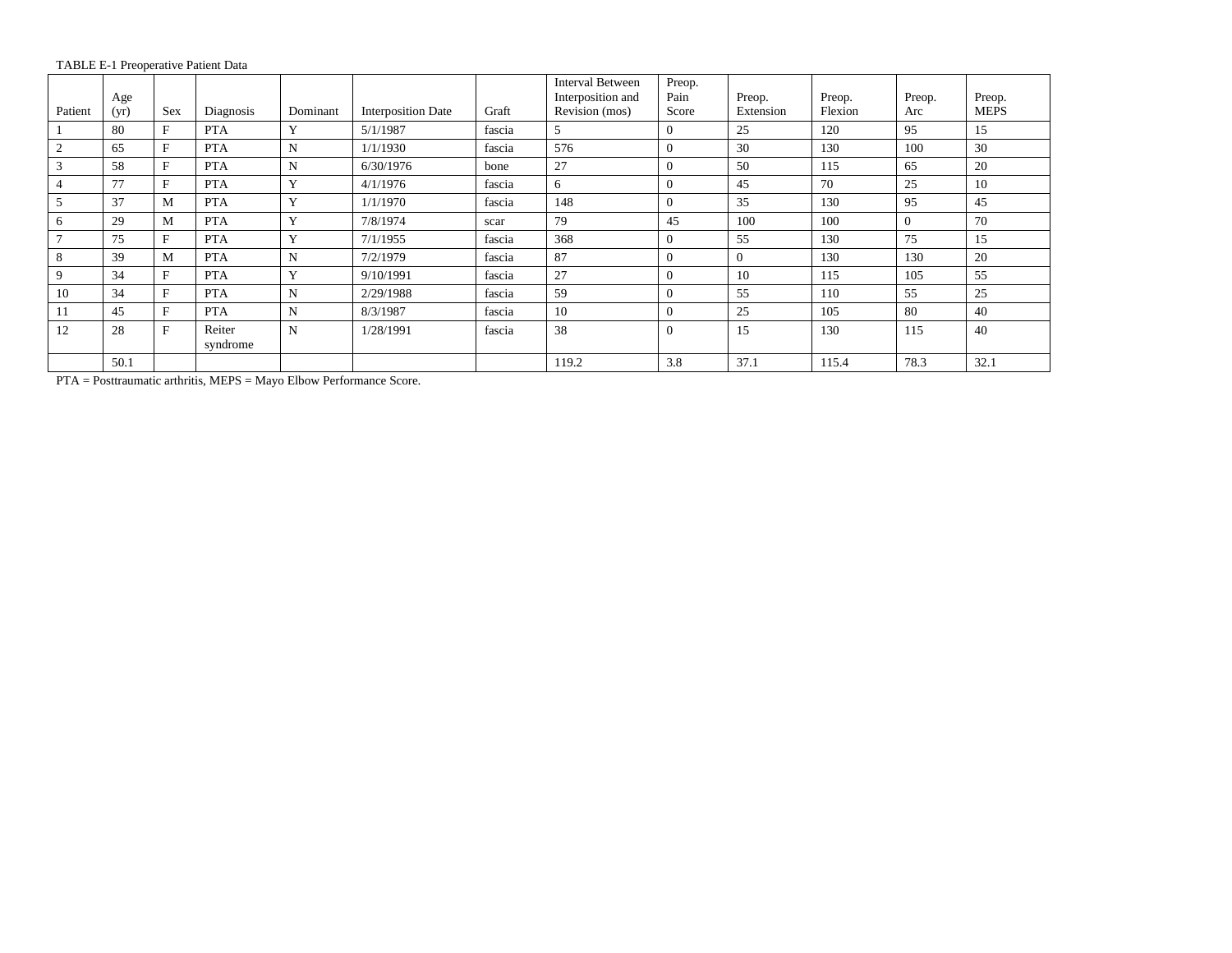TABLE E-1 Preoperative Patient Data

|                | Age  |              |            |          |                           |        | <b>Interval Between</b><br>Interposition and | Preop.<br>Pain | Preop.    | Preop.  | Preop.   | Preop.      |
|----------------|------|--------------|------------|----------|---------------------------|--------|----------------------------------------------|----------------|-----------|---------|----------|-------------|
| Patient        | (yr) | <b>Sex</b>   | Diagnosis  | Dominant | <b>Interposition Date</b> | Graft  | Revision (mos)                               | Score          | Extension | Flexion | Arc      | <b>MEPS</b> |
|                | 80   | F            | <b>PTA</b> | Y        | 5/1/1987                  | fascia | 5                                            | $\Omega$       | 25        | 120     | 95       | 15          |
| $\mathbf{2}$   | 65   | F            | <b>PTA</b> | N        | 1/1/1930                  | fascia | 576                                          | $\mathbf{0}$   | 30        | 130     | 100      | 30          |
| 3              | 58   | $\mathbf{F}$ | <b>PTA</b> | N        | 6/30/1976                 | bone   | 27                                           | $\Omega$       | 50        | 115     | 65       | 20          |
| $\overline{4}$ | 77   | F            | <b>PTA</b> | Y        | 4/1/1976                  | fascia | 6                                            | $\mathbf{0}$   | 45        | 70      | 25       | 10          |
| 5              | 37   | M            | <b>PTA</b> | Y        | 1/1/1970                  | fascia | 148                                          | $\Omega$       | 35        | 130     | 95       | 45          |
| 6              | 29   | М            | <b>PTA</b> | Y        | 7/8/1974                  | scar   | 79                                           | 45             | 100       | 100     | $\Omega$ | 70          |
| $\mathcal{I}$  | 75   | F            | <b>PTA</b> | Y        | 7/1/1955                  | fascia | 368                                          | $\theta$       | 55        | 130     | 75       | 15          |
| 8              | 39   | M            | <b>PTA</b> | N        | 7/2/1979                  | fascia | 87                                           | $\Omega$       | $\Omega$  | 130     | 130      | 20          |
| 9              | 34   | F            | <b>PTA</b> | Y        | 9/10/1991                 | fascia | 27                                           | $\Omega$       | 10        | 115     | 105      | 55          |
| 10             | 34   | F            | <b>PTA</b> | N        | 2/29/1988                 | fascia | 59                                           | $\Omega$       | 55        | 110     | 55       | 25          |
| 11             | 45   | F            | <b>PTA</b> | N        | 8/3/1987                  | fascia | 10                                           | $\mathbf{0}$   | 25        | 105     | 80       | 40          |
| 12             | 28   | $\mathbf F$  | Reiter     | N        | 1/28/1991                 | fascia | 38                                           | $\Omega$       | 15        | 130     | 115      | 40          |
|                |      |              | syndrome   |          |                           |        |                                              |                |           |         |          |             |
|                | 50.1 |              |            |          |                           |        | 119.2                                        | 3.8            | 37.1      | 115.4   | 78.3     | 32.1        |

PTA = Posttraumatic arthritis, MEPS = Mayo Elbow Performance Score.